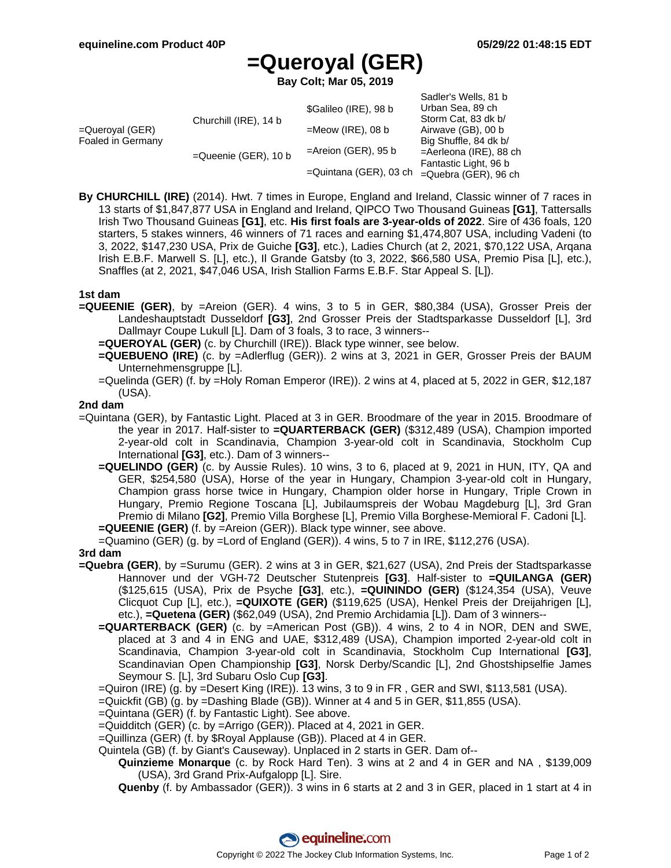Sadler's Wells, 81 b

# **=Queroyal (GER)**

**Bay Colt; Mar 05, 2019**

|                                      |                         |                           | Saulei S Wells. OT D      |
|--------------------------------------|-------------------------|---------------------------|---------------------------|
| =Queroval (GER)<br>Foaled in Germany | Churchill (IRE), 14 b   | \$Galileo (IRE), 98 b     | Urban Sea, 89 ch          |
|                                      |                         |                           | Storm Cat, 83 dk b/       |
|                                      |                         | $=$ Meow (IRE), 08 b      | Airwave (GB), 00 b        |
|                                      | $=$ Queenie (GER), 10 b | $=$ Areion (GER), 95 b    | Big Shuffle, 84 dk b/     |
|                                      |                         |                           | $=$ Aerleona (IRE), 88 ch |
|                                      |                         | $=$ Quintana (GER), 03 ch | Fantastic Light, 96 b     |
|                                      |                         |                           | $=$ Quebra (GER), 96 ch   |

**By CHURCHILL (IRE)** (2014). Hwt. 7 times in Europe, England and Ireland, Classic winner of 7 races in 13 starts of \$1,847,877 USA in England and Ireland, QIPCO Two Thousand Guineas **[G1]**, Tattersalls Irish Two Thousand Guineas **[G1]**, etc. **His first foals are 3-year-olds of 2022**. Sire of 436 foals, 120 starters, 5 stakes winners, 46 winners of 71 races and earning \$1,474,807 USA, including Vadeni (to 3, 2022, \$147,230 USA, Prix de Guiche **[G3]**, etc.), Ladies Church (at 2, 2021, \$70,122 USA, Arqana Irish E.B.F. Marwell S. [L], etc.), Il Grande Gatsby (to 3, 2022, \$66,580 USA, Premio Pisa [L], etc.), Snaffles (at 2, 2021, \$47,046 USA, Irish Stallion Farms E.B.F. Star Appeal S. [L]).

### **1st dam**

- **=QUEENIE (GER)**, by =Areion (GER). 4 wins, 3 to 5 in GER, \$80,384 (USA), Grosser Preis der Landeshauptstadt Dusseldorf **[G3]**, 2nd Grosser Preis der Stadtsparkasse Dusseldorf [L], 3rd Dallmayr Coupe Lukull [L]. Dam of 3 foals, 3 to race, 3 winners--
	- **=QUEROYAL (GER)** (c. by Churchill (IRE)). Black type winner, see below.
	- **=QUEBUENO (IRE)** (c. by =Adlerflug (GER)). 2 wins at 3, 2021 in GER, Grosser Preis der BAUM Unternehmensgruppe [L].
	- =Quelinda (GER) (f. by =Holy Roman Emperor (IRE)). 2 wins at 4, placed at 5, 2022 in GER, \$12,187 (USA).

#### **2nd dam**

- =Quintana (GER), by Fantastic Light. Placed at 3 in GER. Broodmare of the year in 2015. Broodmare of the year in 2017. Half-sister to **=QUARTERBACK (GER)** (\$312,489 (USA), Champion imported 2-year-old colt in Scandinavia, Champion 3-year-old colt in Scandinavia, Stockholm Cup International **[G3]**, etc.). Dam of 3 winners--
	- **=QUELINDO (GER)** (c. by Aussie Rules). 10 wins, 3 to 6, placed at 9, 2021 in HUN, ITY, QA and GER, \$254,580 (USA), Horse of the year in Hungary, Champion 3-year-old colt in Hungary, Champion grass horse twice in Hungary, Champion older horse in Hungary, Triple Crown in Hungary, Premio Regione Toscana [L], Jubilaumspreis der Wobau Magdeburg [L], 3rd Gran Premio di Milano **[G2]**, Premio Villa Borghese [L], Premio Villa Borghese-Memioral F. Cadoni [L]. **=QUEENIE (GER)** (f. by =Areion (GER)). Black type winner, see above.

=Quamino (GER) (g. by =Lord of England (GER)). 4 wins, 5 to 7 in IRE, \$112,276 (USA).

#### **3rd dam**

- **=Quebra (GER)**, by =Surumu (GER). 2 wins at 3 in GER, \$21,627 (USA), 2nd Preis der Stadtsparkasse Hannover und der VGH-72 Deutscher Stutenpreis **[G3]**. Half-sister to **=QUILANGA (GER)** (\$125,615 (USA), Prix de Psyche **[G3]**, etc.), **=QUININDO (GER)** (\$124,354 (USA), Veuve Clicquot Cup [L], etc.), **=QUIXOTE (GER)** (\$119,625 (USA), Henkel Preis der Dreijahrigen [L], etc.), **=Quetena (GER)** (\$62,049 (USA), 2nd Premio Archidamia [L]). Dam of 3 winners--
	- **=QUARTERBACK (GER)** (c. by =American Post (GB)). 4 wins, 2 to 4 in NOR, DEN and SWE, placed at 3 and 4 in ENG and UAE, \$312,489 (USA), Champion imported 2-year-old colt in Scandinavia, Champion 3-year-old colt in Scandinavia, Stockholm Cup International **[G3]**, Scandinavian Open Championship **[G3]**, Norsk Derby/Scandic [L], 2nd Ghostshipselfie James Seymour S. [L], 3rd Subaru Oslo Cup **[G3]**.
	- =Quiron (IRE) (g. by =Desert King (IRE)). 13 wins, 3 to 9 in FR , GER and SWI, \$113,581 (USA).
	- =Quickfit (GB) (g. by =Dashing Blade (GB)). Winner at 4 and 5 in GER, \$11,855 (USA).
	- =Quintana (GER) (f. by Fantastic Light). See above.
	- =Quidditch (GER) (c. by =Arrigo (GER)). Placed at 4, 2021 in GER.
	- =Quillinza (GER) (f. by \$Royal Applause (GB)). Placed at 4 in GER.
	- Quintela (GB) (f. by Giant's Causeway). Unplaced in 2 starts in GER. Dam of--
		- **Quinzieme Monarque** (c. by Rock Hard Ten). 3 wins at 2 and 4 in GER and NA , \$139,009 (USA), 3rd Grand Prix-Aufgalopp [L]. Sire.
		- **Quenby** (f. by Ambassador (GER)). 3 wins in 6 starts at 2 and 3 in GER, placed in 1 start at 4 in